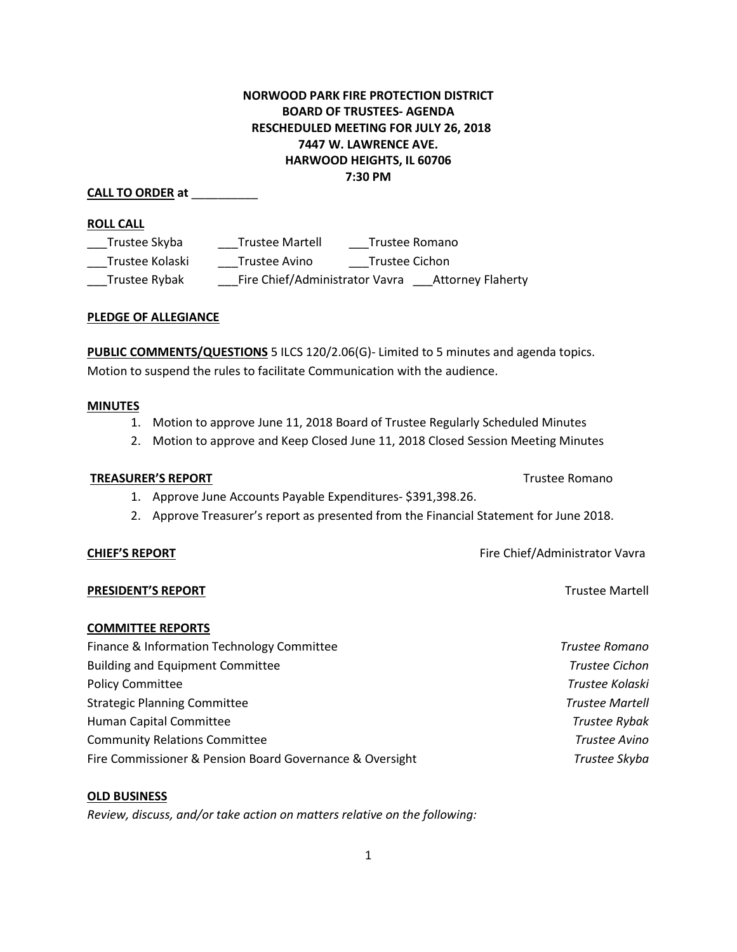# **NORWOOD PARK FIRE PROTECTION DISTRICT BOARD OF TRUSTEES- AGENDA RESCHEDULED MEETING FOR JULY 26, 2018 7447 W. LAWRENCE AVE. HARWOOD HEIGHTS, IL 60706 7:30 PM**

# **CALL TO ORDER at** \_\_\_\_\_\_\_\_\_\_

### **ROLL CALL**

| Trustee Skyba   | <b>Trustee Martell</b>         | Trustee Romano |                          |
|-----------------|--------------------------------|----------------|--------------------------|
| Trustee Kolaski | Trustee Avino                  | Trustee Cichon |                          |
| Trustee Rybak   | Fire Chief/Administrator Vavra |                | <b>Attorney Flaherty</b> |

### **PLEDGE OF ALLEGIANCE**

**PUBLIC COMMENTS/QUESTIONS** 5 ILCS 120/2.06(G)- Limited to 5 minutes and agenda topics. Motion to suspend the rules to facilitate Communication with the audience.

### **MINUTES**

- 1. Motion to approve June 11, 2018 Board of Trustee Regularly Scheduled Minutes
- 2. Motion to approve and Keep Closed June 11, 2018 Closed Session Meeting Minutes

## **TREASURER'S REPORT** TREASURER'S **REPORT**

- 1. Approve June Accounts Payable Expenditures- \$391,398.26.
- 2. Approve Treasurer's report as presented from the Financial Statement for June 2018.

## **PRESIDENT'S REPORT** Trustee Martell

## **COMMITTEE REPORTS**

| Finance & Information Technology Committee               | Trustee Romano         |
|----------------------------------------------------------|------------------------|
| <b>Building and Equipment Committee</b>                  | Trustee Cichon         |
| <b>Policy Committee</b>                                  | Trustee Kolaski        |
| <b>Strategic Planning Committee</b>                      | <b>Trustee Martell</b> |
| Human Capital Committee                                  | Trustee Rybak          |
| <b>Community Relations Committee</b>                     | Trustee Avino          |
| Fire Commissioner & Pension Board Governance & Oversight | Trustee Skyba          |

## **OLD BUSINESS**

*Review, discuss, and/or take action on matters relative on the following:*

**CHIEF'S REPORT CHIEF'S REPORT Fire Chief/Administrator Vavra**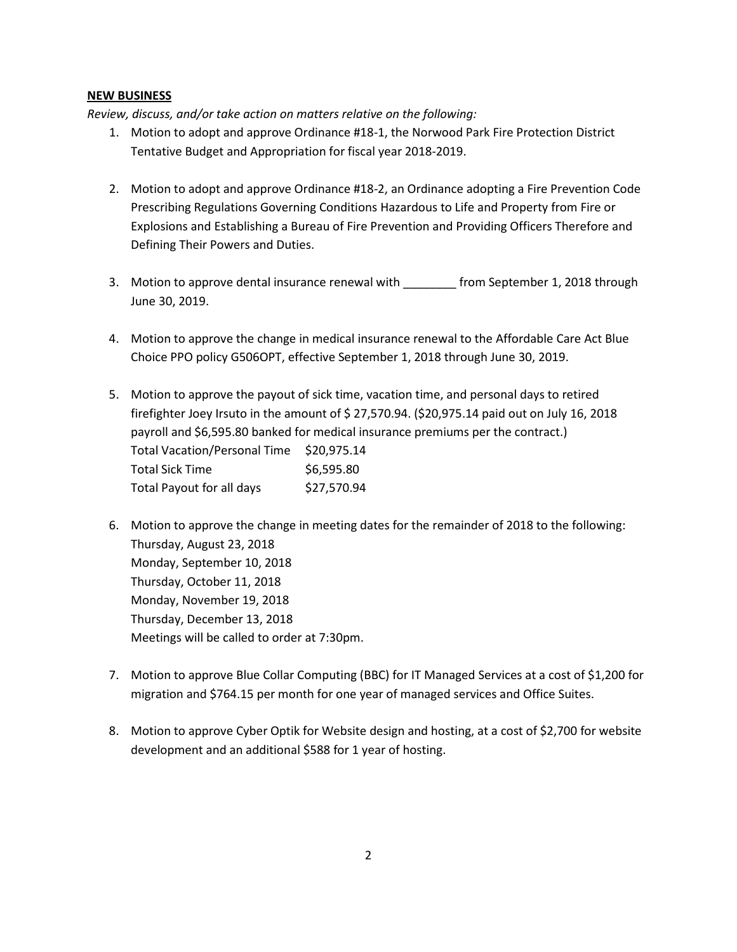## **NEW BUSINESS**

*Review, discuss, and/or take action on matters relative on the following:*

- 1. Motion to adopt and approve Ordinance #18-1, the Norwood Park Fire Protection District Tentative Budget and Appropriation for fiscal year 2018-2019.
- 2. Motion to adopt and approve Ordinance #18-2, an Ordinance adopting a Fire Prevention Code Prescribing Regulations Governing Conditions Hazardous to Life and Property from Fire or Explosions and Establishing a Bureau of Fire Prevention and Providing Officers Therefore and Defining Their Powers and Duties.
- 3. Motion to approve dental insurance renewal with \_\_\_\_\_\_\_\_\_ from September 1, 2018 through June 30, 2019.
- 4. Motion to approve the change in medical insurance renewal to the Affordable Care Act Blue Choice PPO policy G506OPT, effective September 1, 2018 through June 30, 2019.
- 5. Motion to approve the payout of sick time, vacation time, and personal days to retired firefighter Joey Irsuto in the amount of \$ 27,570.94. (\$20,975.14 paid out on July 16, 2018 payroll and \$6,595.80 banked for medical insurance premiums per the contract.) Total Vacation/Personal Time \$20,975.14 Total Sick Time \$6,595.80 Total Payout for all days \$27,570.94
- 6. Motion to approve the change in meeting dates for the remainder of 2018 to the following: Thursday, August 23, 2018 Monday, September 10, 2018 Thursday, October 11, 2018 Monday, November 19, 2018 Thursday, December 13, 2018 Meetings will be called to order at 7:30pm.
- 7. Motion to approve Blue Collar Computing (BBC) for IT Managed Services at a cost of \$1,200 for migration and \$764.15 per month for one year of managed services and Office Suites.
- 8. Motion to approve Cyber Optik for Website design and hosting, at a cost of \$2,700 for website development and an additional \$588 for 1 year of hosting.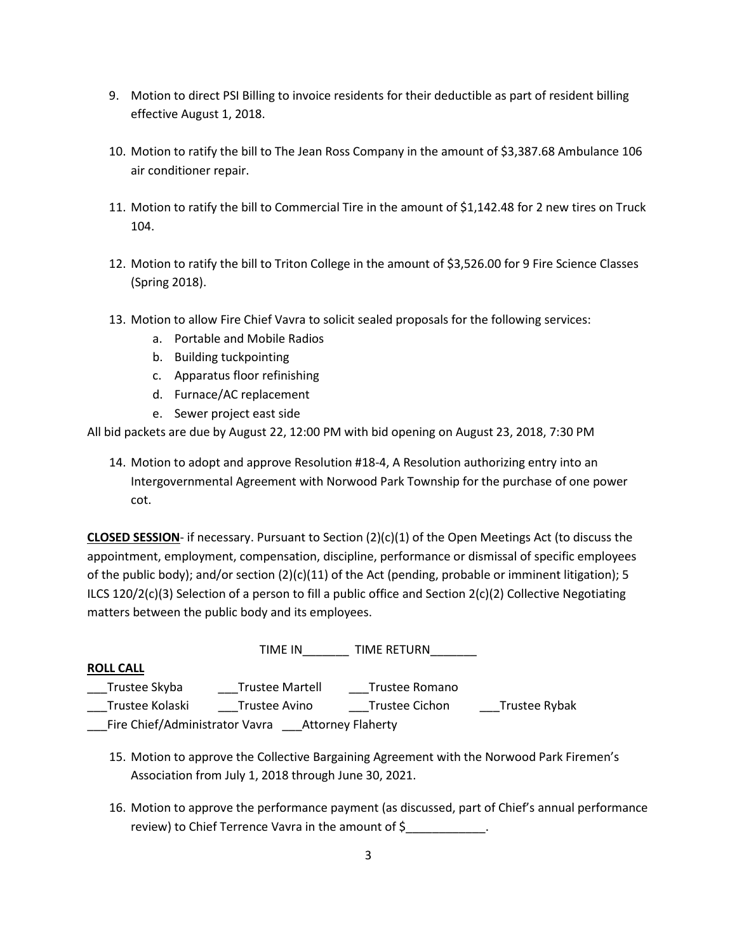- 9. Motion to direct PSI Billing to invoice residents for their deductible as part of resident billing effective August 1, 2018.
- 10. Motion to ratify the bill to The Jean Ross Company in the amount of \$3,387.68 Ambulance 106 air conditioner repair.
- 11. Motion to ratify the bill to Commercial Tire in the amount of \$1,142.48 for 2 new tires on Truck 104.
- 12. Motion to ratify the bill to Triton College in the amount of \$3,526.00 for 9 Fire Science Classes (Spring 2018).
- 13. Motion to allow Fire Chief Vavra to solicit sealed proposals for the following services:
	- a. Portable and Mobile Radios
	- b. Building tuckpointing
	- c. Apparatus floor refinishing
	- d. Furnace/AC replacement
	- e. Sewer project east side

All bid packets are due by August 22, 12:00 PM with bid opening on August 23, 2018, 7:30 PM

14. Motion to adopt and approve Resolution #18-4, A Resolution authorizing entry into an Intergovernmental Agreement with Norwood Park Township for the purchase of one power cot.

**CLOSED SESSION**- if necessary. Pursuant to Section (2)(c)(1) of the Open Meetings Act (to discuss the appointment, employment, compensation, discipline, performance or dismissal of specific employees of the public body); and/or section  $(2)(c)(11)$  of the Act (pending, probable or imminent litigation); 5 ILCS 120/2(c)(3) Selection of a person to fill a public office and Section 2(c)(2) Collective Negotiating matters between the public body and its employees.

|                                                            | TIME IN                | <b>TIME RETURN</b>    |               |  |
|------------------------------------------------------------|------------------------|-----------------------|---------------|--|
| <b>ROLL CALL</b>                                           |                        |                       |               |  |
| Trustee Skyba                                              | <b>Trustee Martell</b> | Trustee Romano        |               |  |
| Trustee Kolaski                                            | Trustee Avino          | <b>Trustee Cichon</b> | Trustee Rybak |  |
| Fire Chief/Administrator Vavra<br><b>Attorney Flaherty</b> |                        |                       |               |  |

- 15. Motion to approve the Collective Bargaining Agreement with the Norwood Park Firemen's Association from July 1, 2018 through June 30, 2021.
- 16. Motion to approve the performance payment (as discussed, part of Chief's annual performance review) to Chief Terrence Vavra in the amount of \$